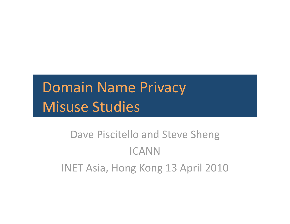# Domain
Name
Privacy Misuse
Studies

## Dave
Piscitello
and
Steve
Sheng ICANN INET
Asia,
Hong
Kong
13
April
2010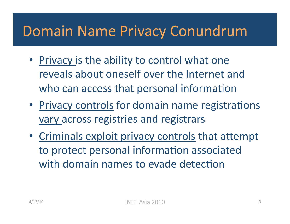## Domain
Name
Privacy
Conundrum

- Privacy is the ability to control what one reveals
about
oneself
over
the
Internet
and who can access that personal information
- Privacy controls for domain name registrations vary
across
registries
and
registrars
- Criminals exploit privacy controls that attempt to protect personal information associated with domain names to evade detection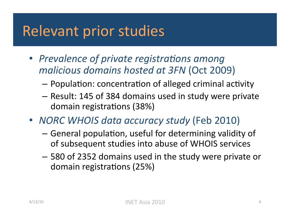## Relevant
prior
studies

- Prevalence of private registrations among *malicious
domains
hosted
at
3FN* (Oct
2009)
	- $-$  Population: concentration of alleged criminal activity
	- Result:
	145
	of
	384
	domains
	used
	in
	study
	were
	private domain registrations (38%)
- *NORC
WHOIS
data
accuracy
study*(Feb
2010)
	- $-$  General population, useful for determining validity of of
	subsequent
	studies
	into
	abuse
	of
	WHOIS
	services
	- 580
	of
	2352
	domains
	used
	in
	the
	study
	were
	private
	or domain registrations (25%)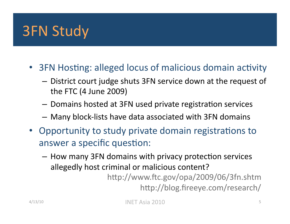## 3FN
Study

- 3FN Hosting: alleged locus of malicious domain activity
	- District
	court
	judge
	shuts
	3FN
	service
	down
	at
	the
	request
	of the
	FTC
	(4
	June
	2009)
	- $-$  Domains hosted at 3FN used private registration services
	- Many
	block‐lists
	have
	data
	associated
	with
	3FN
	domains
- Opportunity to study private domain registrations to answer a specific question:
	- $-$  How many 3FN domains with privacy protection services allegedly
	host
	criminal
	or
	malicious
	content?

http://www.ftc.gov/opa/2009/06/3fn.shtm http://blog.fireeye.com/research/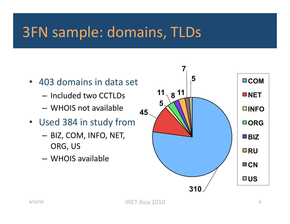## 3FN
sample:
domains,
TLDs

- 403
domains
in
data
set
	- Included
	two
	CCTLDs
	- WHOIS
	not
	available
- Used 384 in study from
	- BIZ,
	COM,
	INFO,
	NET, ORG,
	US
	- WHOIS
	available

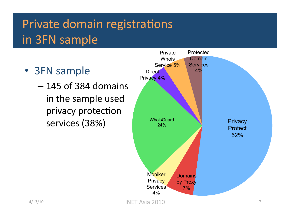## Private domain registrations in
3FN
sample

- 3FN
sample
	- 145
	of
	384
	domains in
	the
	sample
	used privacy protection

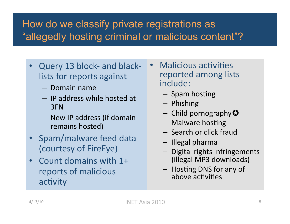#### How do we classify private registrations as "allegedly hosting criminal or malicious content"?

- Query 13 block- and blacklists
for
reports
against
	- Domain
	name
	- IP
	address
	while
	hosted
	at 3FN
	- New
	IP
	address
	(if
	domain remains
	hosted)
- Spam/malware
feed
data (courtesy
of
FireEye)
- Count domains with 1+ reports
of
malicious activity
- Malicious activities reported
among
lists include:
	- Spam hosting
	- Phishing
	- $-$  Child pornography $\Omega$
	- Malware hosting
	- Search
	or
	click
	fraud
	- Illegal
	pharma
	- Digital rights infringements (illegal
	MP3
	downloads)
	- Hosting DNS for any of above activities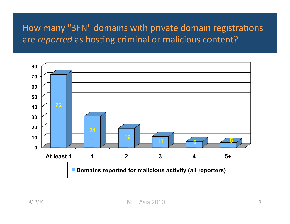#### How many "3FN" domains with private domain registrations are reported as hosting criminal or malicious content?

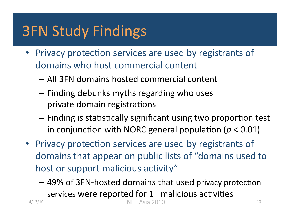# 3FN
Study
Findings

- Privacy protection services are used by registrants of domains
who
host
commercial
content
	- All
	3FN
	domains
	hosted
	commercial
	content
	- Finding
	debunks
	myths
	regarding
	who
	uses private domain registrations
	- Finding is statistically significant using two proportion test in conjunction with NORC general population ( $p < 0.01$ )
- Privacy protection services are used by registrants of domains
that
appear
on
public
lists
of
"domains
used
to host or support malicious activity"
	- 49% of 3FN-hosted domains that used privacy protection services were reported for 1+ malicious activities 4/13/10 INET
	Asia
	2010 <sup>10</sup>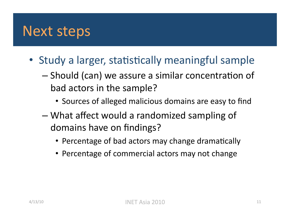#### Next
steps

- Study a larger, statistically meaningful sample
	- $-$  Should (can) we assure a similar concentration of bad
	actors
	in
	the
	sample?
		- Sources of alleged malicious domains are easy to find
	- What
	affect
	would
	a
	randomized
	sampling
	of domains
	have
	on
	findings?
		- Percentage of bad actors may change dramatically
		- Percentage of commercial actors may not change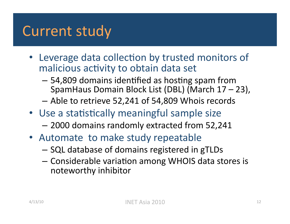## Current
study

- Leverage data collection by trusted monitors of malicious activity to obtain data set
	- 54,809 domains identified as hosting spam from SpamHaus
	Domain
	Block
	List
	(DBL)
	(March
	17
	–
	23),
	- Able
	to
	retrieve
	52,241
	of
	54,809
	Whois
	records
- Use a statistically meaningful sample size
	- 2000
	domains
	randomly
	extracted
	from
	52,241
- Automate to make study repeatable
	- SQL
	database
	of
	domains
	registered
	in
	gTLDs
	- Considerable variation among WHOIS data stores is noteworthy
	inhibitor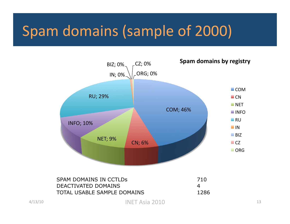## Spam
domains
(sample
of
2000)



| SPAM DOMAINS IN CCTLDs      | 710   |
|-----------------------------|-------|
| DEACTIVATED DOMAINS         |       |
| TOTAL USABLE SAMPLE DOMAINS | -1286 |

4/13/10 INET
Asia
2010 <sup>13</sup>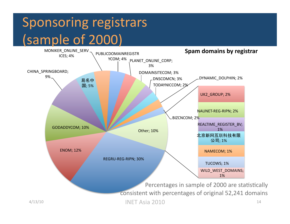# Sponsoring registrars (sample
of
2000)

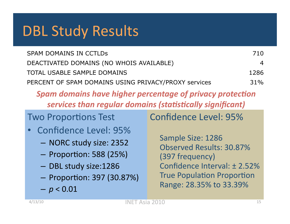## DBL
Study
Results

| <b>SPAM DOMAINS IN CCTLDS</b>                        | 710  |
|------------------------------------------------------|------|
| DEACTIVATED DOMAINS (NO WHOIS AVAILABLE)             | 4    |
| TOTAL USABLE SAMPLE DOMAINS                          | 1286 |
| PERCENT OF SPAM DOMAINS USING PRIVACY/PROXY services | 31%  |

Spam domains have higher percentage of privacy protection services than regular domains (statistically significant)

## **Two Proportions Test**

- Confidence
Level:
95%
	- NORC
	study
	size:
	2352
	- $-$  Proportion: 588 (25%)
	- DBL
	study
	size:1286
	- Proportion: 397 (30.87%)
	- $-p < 0.01$

Confidence
Level:
95%

Sample
Size:
1286 Observed
Results:
30.87% (397
frequency) Confidence
Interval:
±
2.52% **True Population Proportion** Range:
28.35%
to
33.39%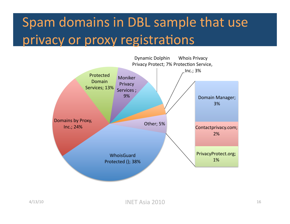# Spam
domains
in
DBL
sample
that
use privacy or proxy registrations

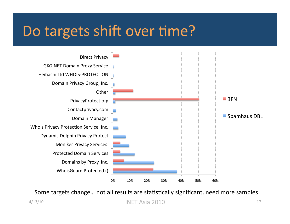## Do targets shift over time?



Some targets change... not all results are statistically significant, need more samples

4/13/10 INET
Asia
2010 <sup>17</sup>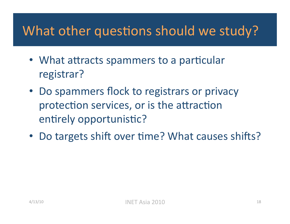#### What other questions should we study?

- What attracts spammers to a particular registrar?
- Do spammers flock to registrars or privacy protection services, or is the attraction entirely opportunistic?
- Do targets shift over time? What causes shifts?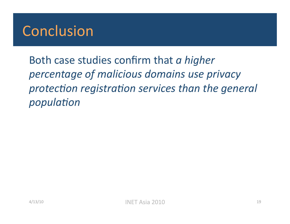## Conclusion

Both
case
studies
confirm
that *a
higher percentage
of
malicious
domains
use
privacy*  protection registration services than the general *population*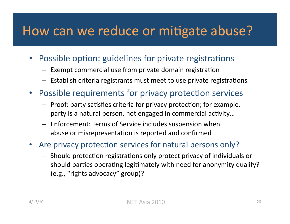#### How can we reduce or mitigate abuse?

- Possible option: guidelines for private registrations
	- $-$  Exempt commercial use from private domain registration
	- Establish criteria registrants must meet to use private registrations
- Possible requirements for privacy protection services
	- $-$  Proof: party satisfies criteria for privacy protection; for example, party is a natural person, not engaged in commercial activity...
	- Enforcement:
	Terms
	of
	Service
	includes
	suspension
	when abuse or misrepresentation is reported and confirmed
- Are privacy protection services for natural persons only?
	- Should protection registrations only protect privacy of individuals or should parties operating legitimately with need for anonymity qualify? (e.g.,
	"rights
	advocacy"
	group)?